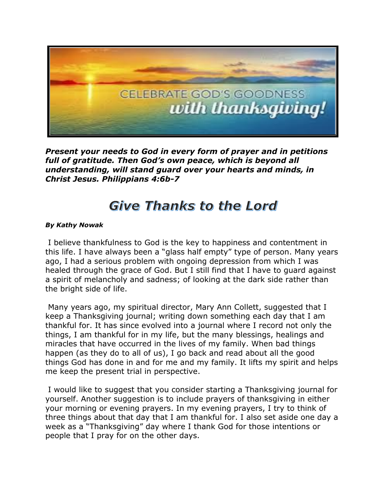

*Present your needs to God in every form of prayer and in petitions full of gratitude. Then God's own peace, which is beyond all understanding, will stand guard over your hearts and minds, in Christ Jesus. Philippians 4:6b-7*

## **Give Thanks to the Lord**

## *By Kathy Nowak*

I believe thankfulness to God is the key to happiness and contentment in this life. I have always been a "glass half empty" type of person. Many years ago, I had a serious problem with ongoing depression from which I was healed through the grace of God. But I still find that I have to guard against a spirit of melancholy and sadness; of looking at the dark side rather than the bright side of life.

Many years ago, my spiritual director, Mary Ann Collett, suggested that I keep a Thanksgiving journal; writing down something each day that I am thankful for. It has since evolved into a journal where I record not only the things, I am thankful for in my life, but the many blessings, healings and miracles that have occurred in the lives of my family. When bad things happen (as they do to all of us), I go back and read about all the good things God has done in and for me and my family. It lifts my spirit and helps me keep the present trial in perspective.

I would like to suggest that you consider starting a Thanksgiving journal for yourself. Another suggestion is to include prayers of thanksgiving in either your morning or evening prayers. In my evening prayers, I try to think of three things about that day that I am thankful for. I also set aside one day a week as a "Thanksgiving" day where I thank God for those intentions or people that I pray for on the other days.